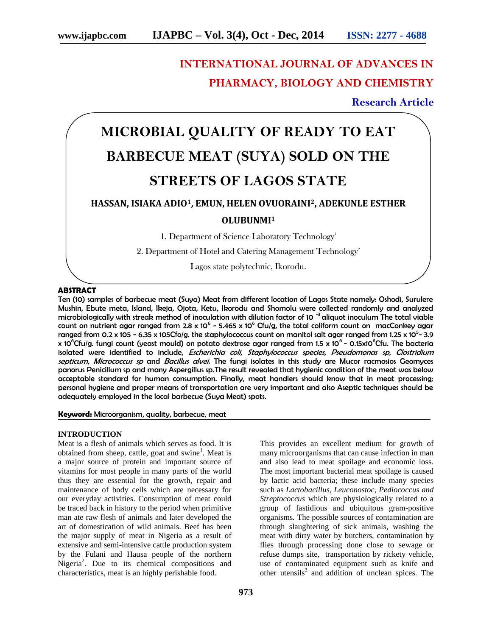## **INTERNATIONAL JOURNAL OF ADVANCES IN PHARMACY, BIOLOGY AND CHEMISTRY**

### **Research Article**

# **MICROBIAL QUALITY OF READY TO EAT BARBECUE MEAT (SUYA) SOLD ON THE STREETS OF LAGOS STATE**

### **HASSAN, ISIAKA ADIO1, EMUN, HELEN OVUORAINI2, ADEKUNLE ESTHER OLUBUNMI<sup>1</sup>**

1. Department of Science Laboratory Technology<sup>1</sup>

2. Department of Hotel and Catering Management Technology<sup>2</sup>

Lagos state polytechnic, Ikorodu.

#### **ABSTRACT**

Ten (10) samples of barbecue meat (Suya) Meat from different location of Lagos State namely: Oshodi, Surulere Mushin, Ebute meta, Island, Ikeja, Ojota, Ketu, Ikorodu and Shomolu were collected randomly and analyzed microbiologically with streak method of inoculation with dilution factor of 10<sup>-3</sup> aliquot inoculum The total viable count on nutrient agar ranged from 2.8 x 10<sup>6</sup> - 5.465 x 10<sup>6</sup> Cfu/g, the total coliform count on macConkey agar ranged from 0.2 x 105 - 6.35 x 105Cfo/g. the staphylococcus count on manitol salt agar ranged from 1.25 x 10<sup>5</sup>- 3.9 x 10<sup>6</sup>Cfu/g. fungi count (yeast mould) on potato dextrose agar ranged from 1.5 x 10<sup>6</sup> - 0.15x10<sup>6</sup>Cfu. The bacteria isolated were identified to include, *Escherichia coli*, *Staphylococcus species*, *Pseudomonas sp, Clostridium septicum*, *Micrococcus sp* and *Bacillus alvei.* The fungi isolates in this study are Mucor racmosios Geomyces panorus Penicillum sp and many Aspergillus sp.The result revealed that hygienic condition of the meat was below acceptable standard for human consumption. Finally, meat handlers should know that in meat processing; personal hygiene and proper means of transportation are very important and also Aseptic techniques should be adequately employed in the local barbecue (Suya Meat) spots.

#### **Keyword:** Microorganism, quality, barbecue, meat

#### **INTRODUCTION**

Meat is a flesh of animals which serves as food. It is obtained from sheep, cattle, goat and swine<sup>1</sup>. Meat is a major source of protein and important source of vitamins for most people in many parts of the world thus they are essential for the growth, repair and maintenance of body cells which are necessary for our everyday activities. Consumption of meat could be traced back in history to the period when primitive man ate raw flesh of animals and later developed the art of domestication of wild animals. Beef has been the major supply of meat in Nigeria as a result of extensive and semi-intensive cattle production system by the Fulani and Hausa people of the northern Nigeria<sup>2</sup>. Due to its chemical compositions and characteristics, meat is an highly perishable food.

This provides an excellent medium for growth of many microorganisms that can cause infection in man and also lead to meat spoilage and economic loss. The most important bacterial meat spoilage is caused by lactic acid bacteria; these include many species such as *Lactobacillus, Leuconostoc, Pediococcus and Streptococcus* which are physiologically related to a group of fastidious and ubiquitous gram-positive organisms*.* The possible sources of contamination are through slaughtering of sick animals, washing the meat with dirty water by butchers, contamination by flies through processing done close to sewage or refuse dumps site, transportation by rickety vehicle, use of contaminated equipment such as knife and other utensils $3$  and addition of unclean spices. The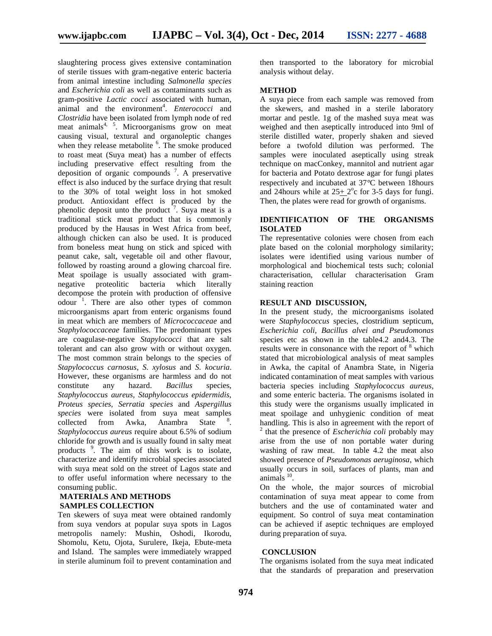slaughtering process gives extensive contamination of sterile tissues with gram-negative enteric bacteria from animal intestine including *Salmonella species* and *Escherichia coli* as well as contaminants such as gram-positive *Lactic cocci* associated with human, animal and the environment<sup>4</sup>. *Enterococci* and *Clostridia* have been isolated from lymph node of red meat animals<sup>4, 5</sup>. Microorganisms grow on meat causing visual, textural and organoleptic changes when they release metabolite <sup>6</sup>. The smoke produced to roast meat (Suya meat) has a number of effects including preservative effect resulting from the deposition of organic compounds  $\frac{7}{1}$ . A preservative effect is also induced by the surface drying that result to the 30% of total weight loss in hot smoked product. Antioxidant effect is produced by the phenolic deposit unto the product  $\frac{7}{1}$ . Suya meat is a traditional stick meat product that is commonly produced by the Hausas in West Africa from beef, although chicken can also be used. It is produced from boneless meat hung on stick and spiced with peanut cake, salt, vegetable oil and other flavour, followed by roasting around a glowing charcoal fire. Meat spoilage is usually associated with gram negative proteolitic bacteria which literally decompose the protein with production of offensive odour<sup>1</sup>. There are also other types of common microorganisms apart from enteric organisms found in meat which are members of *Micrococcaceae* and *Staphylococcaceae* families. The predominant types are coagulase-negative *Stapylococci* that are salt tolerant and can also grow with or without oxygen. The most common strain belongs to the species of *Stapylococcus carnosus*, *S*. *xylosus* and *S. kocuria*. However, these organisms are harmless and do not constitute any hazard. *Bacillus* species, *Staphylococcus aureus, Staphylococcus epidermidis, Proteus species, Serratia species* and *Aspergillus species* were isolated from suya meat samples collected from Awka, Anambra State . *Staphylococcus aureus* require about 6.5% of sodium chloride for growth and is usually found in salty meat products 9 . The aim of this work is to isolate, characterize and identify microbial species associated with suya meat sold on the street of Lagos state and to offer useful information where necessary to the consuming public.

#### **MATERIALS AND METHODS SAMPLES COLLECTION**

Ten skewers of suya meat were obtained randomly from suya vendors at popular suya spots in Lagos metropolis namely: Mushin, Oshodi, Ikorodu, Shomolu, Ketu, Ojota, Surulere, Ikeja, Ebute-meta and Island. The samples were immediately wrapped in sterile aluminum foil to prevent contamination and

then transported to the laboratory for microbial analysis without delay.

#### **METHOD**

A suya piece from each sample was removed from the skewers, and mashed in a sterile laboratory mortar and pestle. 1g of the mashed suya meat was weighed and then aseptically introduced into 9ml of sterile distilled water, properly shaken and sieved before a twofold dilution was performed. The samples were inoculated aseptically using streak technique on macConkey, mannitol and nutrient agar for bacteria and Potato dextrose agar for fungi plates respectively and incubated at 37*°*C between 18hours and 24 hours while at  $25 \pm 2^{\circ}$ c for 3-5 days for fungi. Then, the plates were read for growth of organisms.

### **IDENTIFICATION OF THE ORGANISMS ISOLATED**

The representative colonies were chosen from each plate based on the colonial morphology similarity; isolates were identified using various number of morphological and biochemical tests such; colonial characterisation, cellular characterisation Gram staining reaction

#### **RESULT AND DISCUSSION,**

In the present study, the microorganisms isolated were *Staphylococcus* species, clostridium septicum, *Escherichia coli, Bacillus alvei and Pseudomonas* species etc as shown in the table4.2 and4.3. The results were in consonance with the report of  $8$  which stated that microbiological analysis of meat samples in Awka, the capital of Anambra State, in Nigeria indicated contamination of meat samples with various bacteria species including *Staphylococcus aureus,* and some enteric bacteria. The organisms isolated in this study were the organisms usually implicated in meat spoilage and unhygienic condition of meat handling. This is also in agreement with the report of 2 that the presence of *Escherichia coli* probably may arise from the use of non portable water during washing of raw meat. In table 4.2 the meat also showed presence of *Pseudomonas aeruginosa*, which usually occurs in soil, surfaces of plants, man and animals  $10$ .

On the whole, the major sources of microbial contamination of suya meat appear to come from butchers and the use of contaminated water and equipment. So control of suya meat contamination can be achieved if aseptic techniques are employed during preparation of suya.

#### **CONCLUSION**

The organisms isolated from the suya meat indicated that the standards of preparation and preservation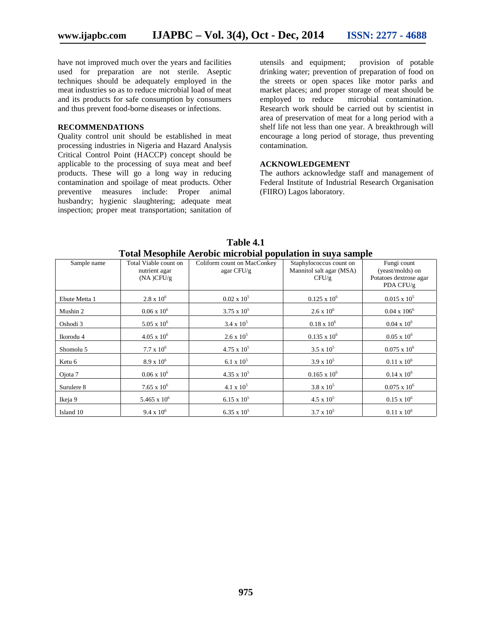have not improved much over the years and facilities used for preparation are not sterile. Aseptic techniques should be adequately employed in the meat industries so as to reduce microbial load of meat and its products for safe consumption by consumers and thus prevent food-borne diseases or infections.

#### **RECOMMENDATIONS**

Quality control unit should be established in meat processing industries in Nigeria and Hazard Analysis Critical Control Point (HACCP) concept should be applicable to the processing of suya meat and beef products. These will go a long way in reducing contamination and spoilage of meat products. Other preventive measures include: Proper animal husbandry; hygienic slaughtering; adequate meat inspection; proper meat transportation; sanitation of

utensils and equipment; provision of potable drinking water; prevention of preparation of food on the streets or open spaces like motor parks and market places; and proper storage of meat should be employed to reduce microbial contamination. microbial contamination. Research work should be carried out by scientist in area of preservation of meat for a long period with a shelf life not less than one year. A breakthrough will encourage a long period of storage, thus preventing contamination.

### **ACKNOWLEDGEMENT**

The authors acknowledge staff and management of Federal Institute of Industrial Research Organisation (FIIRO) Lagos laboratory.

| Sample name   | Total Viable count on<br>nutrient agar<br>(NA)CFU/g | Coliform count on MacConkey<br>agar CFU/g | Staphylococcus count on<br>Mannitol salt agar (MSA)<br>CFU/g | Fungi count<br>(yeast/molds) on<br>Potatoes dextrose agar<br>PDA CFU/g |
|---------------|-----------------------------------------------------|-------------------------------------------|--------------------------------------------------------------|------------------------------------------------------------------------|
| Ebute Metta 1 | $2.8 \times 10^6$                                   | $0.02 \times 10^5$                        | $0.125 \times 10^6$                                          | $0.015 \times 10^5$                                                    |
| Mushin 2      | $0.06 \times 10^6$                                  | $3.75 \times 10^{5}$                      | $2.6 \times 10^{6}$                                          | $0.04 \times 106^6$                                                    |
| Oshodi 3      | $5.05 \times 10^6$                                  | $3.4 \times 10^5$                         | $0.18 \times 10^6$                                           | $0.04 \times 10^{6}$                                                   |
| Ikorodu 4     | $4.05 \times 10^6$                                  | $2.6 \times 10^5$                         | $0.135 \times 10^6$                                          | $0.05 \times 10^6$                                                     |
| Shomolu 5     | $7.7 \times 10^6$                                   | $4.75 \times 10^5$                        | $3.5 \times 10^5$                                            | $0.075 \times 10^6$                                                    |
| Ketu 6        | $8.9 \times 10^{6}$                                 | 6.1 x $10^5$                              | $3.9 \times 10^5$                                            | $0.11 \times 10^6$                                                     |
| Ojota 7       | $0.06 \times 10^6$                                  | $4.35 \times 10^5$                        | $0.165 \times 10^6$                                          | $0.14 \times 10^6$                                                     |
| Surulere 8    | $7.65 \times 10^6$                                  | $4.1 \times 10^5$                         | $3.8 \times 10^5$                                            | $0.075 \times 10^6$                                                    |
| Ikeja 9       | $5.465 \times 10^{6}$                               | $6.15 \times 10^5$                        | $4.5 \times 10^5$                                            | $0.15 \times 10^{6}$                                                   |
| Island 10     | $9.4 \times 10^6$                                   | $6.35 \times 10^5$                        | $3.7 \times 10^5$                                            | $0.11 \times 10^6$                                                     |

**Table 4.1 Total Mesophile Aerobic microbial population in suya sample**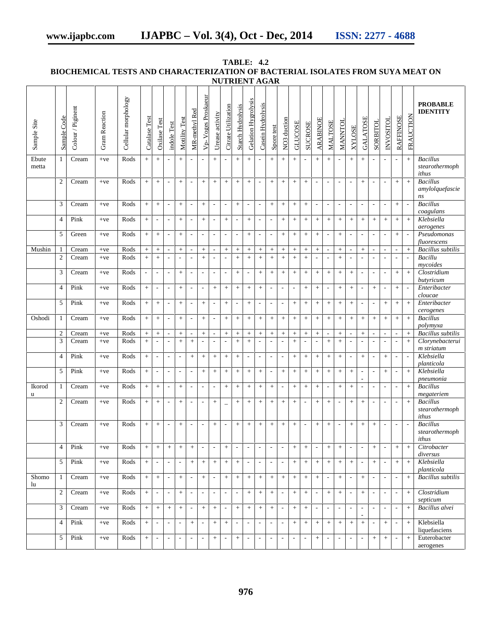|                |                         |                   |                      |                     |                          |                                    |                                                      |                                 |                                                      |                                             |                                                      |                                                      | <b>NUTRIENT AGAR</b>               |                            |                            |                                              |                                    |                          |                          |                                                      |                                                      |                          |                                                         |                                                                      |                                                      |                                                      |                                                      |                                    |                                                        |
|----------------|-------------------------|-------------------|----------------------|---------------------|--------------------------|------------------------------------|------------------------------------------------------|---------------------------------|------------------------------------------------------|---------------------------------------------|------------------------------------------------------|------------------------------------------------------|------------------------------------|----------------------------|----------------------------|----------------------------------------------|------------------------------------|--------------------------|--------------------------|------------------------------------------------------|------------------------------------------------------|--------------------------|---------------------------------------------------------|----------------------------------------------------------------------|------------------------------------------------------|------------------------------------------------------|------------------------------------------------------|------------------------------------|--------------------------------------------------------|
| Sample Site    | Sample Code             | Colour / Piginent | <b>Gram Reaction</b> | Cellular morphology | Catalase Test            | Oxilase Test                       | indole Test                                          | Motility Test                   | MR-methyl Red                                        | Vp-Voges Proskaeur                          | Urease activity                                      | Citrate Utilization                                  | <b>Starch Hydrolysis</b>           | Gelation Hygrolysis        | Casein Hydrolysis          | Spore test                                   | NO3 duction                        | <b>GLUCOSE</b>           | <b>SUCROSE</b>           | <b>ARABINOE</b>                                      | <b>MALTOSE</b>                                       | MANNTOL                  | <b>XYLOSE</b>                                           | GALATOSE                                                             | SORBITOL                                             | <b>IOLISOAN</b>                                      | <b>RAFFINOSE</b>                                     | <b>FRAUCTION</b>                   | <b>PROBABLE</b><br><b>IDENTITY</b>                     |
| Ebute<br>metta | 1                       | Cream             | $+ve$                | Rods                | $+$                      | $+$                                | $\sim$                                               | $+$                             |                                                      | $\overline{\phantom{a}}$                    | $+$                                                  |                                                      | $+$                                | $+$                        |                            | $+$                                          | $+$                                | $+$                      |                          | $+$                                                  | $\ddot{+}$                                           |                          | $+$                                                     | $+$                                                                  | $\overline{\phantom{a}}$                             |                                                      | $\overline{\phantom{a}}$                             | $^{+}$                             | <b>Bacillus</b><br>stearothermoph<br>ithus             |
|                | $\overline{c}$          | Cream             | $+ve$                | Rods                | $+$                      | $+$                                | $\overline{\phantom{a}}$                             | $+$                             | $\overline{\phantom{a}}$                             | $\,+\,$                                     | $\boldsymbol{+}$                                     | $+$                                                  | $\boldsymbol{+}$                   | $\, +$                     | $\overline{\phantom{a}}$   | $\boldsymbol{+}$                             | $+$                                | $+$                      | $+$                      | $\overline{\phantom{a}}$                             | $\overline{\phantom{a}}$                             | $\overline{\phantom{a}}$ | $\overline{\phantom{a}}$                                | $+$                                                                  | $\overline{\phantom{a}}$                             | $\overline{\phantom{a}}$                             | $\boldsymbol{+}$                                     | $\, +$                             | <b>Bacillus</b><br>amylolquefascie<br>ns               |
|                | 3                       | Cream             | $+ve$                | Rods                | $+$                      | $\boldsymbol{+}$                   | $\overline{\phantom{a}}$                             | $\! + \!\!\!\!$                 | $\overline{\phantom{a}}$                             | $\! + \!\!\!\!$                             | $\overline{\phantom{a}}$                             | $\overline{\phantom{a}}$                             | $\boldsymbol{+}$                   | $\overline{\phantom{a}}$   | $\overline{\phantom{a}}$   | $\boldsymbol{+}$                             | $\boldsymbol{+}$                   | $+$                      | $+$                      | $\overline{\phantom{a}}$                             | $\overline{\phantom{a}}$                             | $\overline{\phantom{a}}$ | $\overline{\phantom{a}}$                                | $\overline{\phantom{a}}$                                             | $\overline{\phantom{a}}$                             | $\overline{\phantom{a}}$                             |                                                      | $\overline{\phantom{a}}$           | <b>Bacillus</b><br>coagulans                           |
|                | $\overline{4}$          | Pink              | $+ve$                | Rods                | $+$                      | $\overline{a}$                     | $\overline{\phantom{a}}$                             |                                 | $\overline{\phantom{a}}$                             | $+$                                         | $\overline{\phantom{a}}$                             | $+$                                                  | $\overline{\phantom{a}}$           | $\! +$                     | $\overline{\phantom{a}}$   | $\overline{\phantom{a}}$                     | $+$                                | $+$                      | $+$                      | $+$                                                  | $\, +$                                               |                          | $\boldsymbol{+}$                                        | $+$                                                                  | $\pm$                                                | $+$                                                  | $\boldsymbol{+}$                                     | $+$                                | Klebsiella<br>aerogenes                                |
| Mushin         | 5<br>1                  | Green<br>Cream    | $+ve$<br>$+ve$       | Rods<br>Rods        | $+$<br>$\, +$            | $+$<br>$^{+}$                      | $\overline{\phantom{a}}$<br>$\overline{\phantom{a}}$ | $+$<br>$+$                      | $\overline{\phantom{a}}$<br>$\overline{\phantom{a}}$ | $\mathcal{L}_{\mathcal{A}}$<br>$\! +$       | $\overline{\phantom{a}}$<br>$\overline{\phantom{a}}$ | $\overline{\phantom{a}}$<br>$+$                      | $\overline{\phantom{a}}$<br>$\, +$ | $\, +$<br>$\boldsymbol{+}$ | $\blacksquare$<br>$\! +$   | $\overline{\phantom{a}}$<br>$\boldsymbol{+}$ | $+$<br>$\qquad \qquad +$           | $+$<br>$+$               | $+$<br>$+$               | $\color{red}{+}$<br>$\ddot{}$                        | $\overline{\phantom{a}}$<br>$\overline{\phantom{a}}$ | $+$<br>$\qquad \qquad +$ | $\overline{\phantom{a}}$<br>$\mathcal{L}_{\mathcal{A}}$ | $\mathcal{L}_{\mathcal{A}}$<br>$\! +$                                | $\Box$<br>$\overline{\phantom{a}}$                   | $\overline{\phantom{a}}$<br>$\sim$                   | $+$<br>$\overline{\phantom{a}}$                      | $\overline{\phantom{a}}$<br>$\, +$ | Pseudomonas<br>fluorescens<br><b>Bacillus</b> subtilis |
|                | $\overline{2}$          | Cream             | $+ve$                | Rods                | $+$                      | $+$                                | $\overline{\phantom{a}}$                             | $\overline{\phantom{a}}$        | $\overline{\phantom{a}}$                             | $+$                                         | $\overline{\phantom{a}}$                             |                                                      | $\boldsymbol{+}$                   | $\, +$                     | $\boldsymbol{+}$           | $+$                                          | $+$                                | $+$                      | $+$                      | $\overline{a}$                                       | $\overline{\phantom{a}}$                             | $+$                      | $\overline{\phantom{a}}$                                | $\overline{\phantom{a}}$                                             | $\overline{\phantom{a}}$                             | $\overline{\phantom{a}}$                             | $\overline{a}$                                       | $\overline{\phantom{a}}$           | Bacillu                                                |
|                | 3                       | Cream             | $+ve$                | Rods                | $\overline{\phantom{a}}$ | $\overline{\phantom{a}}$           | $\overline{\phantom{a}}$                             | $\! + \!\!\!\!$                 | $\overline{\phantom{a}}$                             | $\overline{\phantom{a}}$                    | $\Box$                                               | $\overline{\phantom{a}}$                             | $\boldsymbol{+}$                   | $\overline{\phantom{a}}$   | $\! +$                     | $\boldsymbol{+}$                             |                                    | $+$                      | $+$                      |                                                      | $\, +$                                               |                          | $\boldsymbol{+}$                                        | $\overline{\phantom{a}}$                                             | $\Box$                                               | $\overline{\phantom{a}}$                             | $\boldsymbol{+}$                                     | $+$                                | mycoides<br>Clostridium                                |
|                | $\overline{4}$          | Pink              | $+ve$                | Rods                | $+$                      | $\overline{\phantom{a}}$           | $\Box$                                               | $\! +$                          | $\overline{\phantom{a}}$                             | $\overline{\phantom{a}}$                    | $\pm$                                                | $\boldsymbol{+}$                                     | $\, +$                             | $\! +$                     | $\, +$                     | $\overline{\phantom{a}}$                     | $\overline{\phantom{a}}$           | $\overline{\phantom{a}}$ | $\, +$                   | $\, +$                                               | $\overline{\phantom{a}}$                             | $\! +$                   | $+$                                                     | $\overline{\phantom{a}}$                                             | $\pm$                                                | $\sim$                                               | $\boldsymbol{+}$                                     | $\mathbb{L}$                       | butyricum<br>Enteribacter                              |
|                | 5                       | Pink              | $+ve$                | Rods                | $+$                      | $\boldsymbol{+}$                   | $\overline{\phantom{a}}$                             | $+$                             | $\overline{\phantom{a}}$                             | $+$                                         | $\overline{\phantom{a}}$                             | $+$                                                  | $\overline{\phantom{a}}$           | $\boldsymbol{+}$           | $\overline{\phantom{a}}$   | $\overline{\phantom{a}}$                     | $\overline{\phantom{a}}$           | $+$                      | $+$                      |                                                      | $\,+\,$                                              | $+$                      | $+$                                                     | $\overline{\phantom{a}}$                                             | $\overline{\phantom{a}}$                             | $+$                                                  | $\boldsymbol{+}$                                     | $\,+\,$                            | cloucae<br>Enteribacter<br>cerogenes                   |
| Oshodi         | 1                       | Cream             | $+ve$                | Rods                | $\pm$                    | $+$                                | $\overline{\phantom{a}}$                             | $+$                             | $\overline{\phantom{a}}$                             | $+$                                         | $\overline{\phantom{a}}$                             | $+$                                                  | $+$                                | $\, +$                     | $+$                        | $\,+\,$                                      | $+$                                | $+$                      | $+$                      | $+$                                                  | $\, +$                                               | $+$                      | $\boldsymbol{+}$                                        | $\! +$                                                               | $\pm$                                                | $+$                                                  | $+$                                                  | $+$                                | <b>Bacillus</b><br>polymyxa                            |
|                | $\overline{\mathbf{c}}$ | Cream             | $+ve$                | Rods                | $\boldsymbol{+}$         | $\boldsymbol{+}$                   | $\mathcal{L}_{\mathcal{A}}$                          | $+$                             | $\overline{\phantom{a}}$                             | $+$                                         | $\overline{\phantom{a}}$                             | $+$                                                  | $\boldsymbol{+}$                   | $\, +$                     | $\! +$                     | $\boldsymbol{+}$                             | $\boldsymbol{+}$                   | $+$                      | $+$                      | $+$                                                  | $\overline{\phantom{a}}$                             | $\qquad \qquad +$        | $\overline{\phantom{a}}$                                | $+$                                                                  | $\overline{\phantom{a}}$                             | $\overline{\phantom{a}}$                             | $\blacksquare$                                       | $\,+\,$                            | <b>Bacillus</b> subtilis                               |
|                | 3                       | Cream             | $+ve$                | Rods                | $+$                      | $\overline{\phantom{a}}$           | $\overline{\phantom{a}}$                             | $\! +$                          | $\! +$                                               | $\overline{\phantom{a}}$                    | $\overline{\phantom{a}}$                             |                                                      | $\, +$                             | $\pm$                      | $\blacksquare$             | $\blacksquare$                               | $\sim$                             | $+$                      |                          | $\overline{\phantom{a}}$                             | $\pm$                                                | $\! +$                   | $\blacksquare$                                          | $\mathcal{L}_{\mathcal{A}}$                                          | $\overline{\phantom{a}}$                             |                                                      | $\overline{\phantom{a}}$                             | $\ddot{}$                          | Clorynebacterui<br>m striatum                          |
|                | $\overline{4}$<br>5     | Pink<br>Pink      | $+ve$                | Rods<br>Rods        | $+$                      | $\overline{\phantom{a}}$           | $\overline{\phantom{a}}$                             | $\overline{\phantom{a}}$        | $\boldsymbol{+}$                                     | $\! +$                                      | $\boldsymbol{+}$                                     | $+$                                                  | $+$                                | $\blacksquare$             | $\overline{\phantom{a}}$   | $\overline{\phantom{a}}$                     | $\overline{\phantom{a}}$           | $+$                      | $+$                      | $+$                                                  | $+$                                                  | $+$                      | $\overline{\phantom{a}}$                                | $+$                                                                  | $\Box$                                               | $+$                                                  | $\overline{\phantom{a}}$                             | $\overline{\phantom{a}}$           | Klebsiella<br>planticola<br>Klebsiella                 |
| Ikorod         | 1                       | Cream             | $+ve$<br>$+ve$       | Rods                | $+$<br>$+$               | $\overline{\phantom{a}}$<br>$+$    | $\overline{\phantom{a}}$<br>$\overline{\phantom{a}}$ | $\overline{\phantom{a}}$<br>$+$ | $\overline{\phantom{a}}$<br>$\overline{\phantom{a}}$ | $\! + \!\!\!\!$<br>$\overline{\phantom{a}}$ | $\boldsymbol{+}$<br>$\overline{\phantom{a}}$         | $\boldsymbol{+}$<br>$+$                              | $\boldsymbol{+}$<br>$\, +$         | $\! +$<br>$\! +$           | $\! +$<br>$\boldsymbol{+}$ | $\overline{\phantom{a}}$<br>$\boldsymbol{+}$ | $+$<br>$\overline{\phantom{a}}$    | $+$<br>$+$               | $\ddot{}$<br>$+$         | $+$                                                  | $\, +$<br>$\overline{\phantom{a}}$                   | $+$<br>$+$               | $\boldsymbol{+}$<br>$\boldsymbol{+}$                    | $\overline{\phantom{a}}$<br>$\mathbf{r}$<br>$\overline{\phantom{a}}$ | $\overline{\phantom{a}}$<br>$\overline{\phantom{a}}$ | $\boldsymbol{+}$<br>$\overline{\phantom{a}}$         | $\overline{\phantom{a}}$<br>$\overline{\phantom{a}}$ | $+$<br>$+$                         | pneumonia<br><b>Bacillus</b>                           |
| u              | 2                       | Cream             | $+ve$                | Rods                | $+$                      | $\begin{array}{c} + \end{array}$   | $\overline{\phantom{a}}$                             | $+$                             | $\overline{\phantom{a}}$                             | $\overline{\phantom{a}}$                    | $^+$                                                 |                                                      |                                    | $\boldsymbol{+}$           | $\! + \!\!\!\!$            | $\! + \!\!\!\!$                              | $+$                                | $+$                      | $\overline{\phantom{a}}$ | $\! + \!\!\!\!$                                      | $+$                                                  | $\overline{\phantom{a}}$ |                                                         | $\boldsymbol{+}$                                                     | $\overline{\phantom{a}}$                             | $\overline{\phantom{a}}$                             | $\overline{\phantom{a}}$                             | $\,+\,$                            | megateriem<br><b>Bacillus</b>                          |
|                |                         |                   |                      |                     |                          |                                    |                                                      |                                 |                                                      |                                             |                                                      |                                                      |                                    |                            |                            |                                              |                                    |                          |                          |                                                      |                                                      |                          |                                                         |                                                                      |                                                      |                                                      |                                                      |                                    | stearothermoph<br>ithus                                |
|                | 3                       | Cream             | $+ve$                | Rods                |                          |                                    | $\sim$                                               | $^{+}$                          | $\overline{\phantom{a}}$                             | $\overline{\phantom{a}}$                    | $\boldsymbol{+}$                                     |                                                      |                                    | $\! +$                     | $\boldsymbol{+}$           | $\! + \!\!\!\!$                              | $\! + \!\!\!\!$                    | $+$                      |                          |                                                      | $\qquad \qquad +$                                    | $\overline{\phantom{a}}$ |                                                         | $\boldsymbol{+}$                                                     | $\boldsymbol{+}$                                     | $\overline{a}$                                       | $\overline{\phantom{a}}$                             |                                    | <b>Bacillus</b><br>stearothermoph<br>ithus             |
|                | $\overline{4}$          | Pink              | $+ve$                | Rods                | $+$                      | $+$                                | $\, +$                                               | $+$                             | $\boldsymbol{+}$                                     | $\overline{\phantom{a}}$                    | $\overline{\phantom{a}}$                             | $+$                                                  | $\overline{\phantom{a}}$           | $\overline{\phantom{a}}$   | $\overline{\phantom{a}}$   | $\overline{\phantom{a}}$                     | $\overline{\phantom{a}}$           | $+$                      | $+$                      | $\overline{\phantom{a}}$                             | $\, +$                                               | $+$                      | $\overline{\phantom{a}}$                                | $\overline{\phantom{a}}$                                             | $\boldsymbol{+}$                                     | $\overline{\phantom{a}}$                             | $+$                                                  | $+$                                | Citrobacter<br>diversus                                |
|                | 5                       | Pink              | $+ve$                | Rods                | $+$                      | $\overline{\phantom{a}}$           | $\overline{\phantom{a}}$                             | $\overline{\phantom{a}}$        | $\! +$                                               | $\! + \!\!\!\!$                             | $+$                                                  | $+$                                                  | $+$                                | $\overline{\phantom{a}}$   | $\overline{\phantom{a}}$   | $\overline{\phantom{a}}$                     | $\overline{\phantom{a}}$           | $+$                      | $+$                      | $\pm$                                                | $\pm$                                                | $+$                      | $\! + \!\!\!\!$                                         | $\overline{\phantom{a}}$                                             | $+$                                                  | $\overline{\phantom{a}}$                             | $+$                                                  | $+$                                | Klebsiella<br>planticola                               |
| Shomo<br>lu    | $\mathbf{1}$            | Cream             | $+ve$                | Rods                | $+$                      | $\boldsymbol{+}$                   | $\mathcal{L}_{\mathcal{A}}$                          | $\! + \!\!\!\!$                 | $\overline{\phantom{a}}$                             | $\! + \!\!\!\!$                             | $\overline{\phantom{a}}$                             | $+$                                                  | $\boldsymbol{+}$                   | $\pm$                      | $\! +$                     | $\boldsymbol{+}$                             | $\boldsymbol{+}$                   | $+$                      | $+$                      |                                                      | $\mathcal{L}_{\mathcal{A}}$                          | $\! + \!\!\!\!$          | $\overline{\phantom{a}}$                                | $\! +$                                                               | $\overline{\phantom{a}}$                             | $\overline{\phantom{a}}$                             | $\overline{\phantom{a}}$                             | $+$                                | <b>Bacillus</b> subtilis<br>Clostridium                |
|                | $\overline{c}$<br>3     | Cream<br>Cream    | $+ve$<br>$+ve$       | Rods<br>Rods        | $+$<br>$+$               | $\overline{\phantom{a}}$<br>$\, +$ | $\overline{\phantom{a}}$<br>$\, +$                   | $+$<br>$\! + \!\!\!\!$          | $\overline{\phantom{a}}$<br>$\overline{\phantom{a}}$ | $\overline{\phantom{a}}$<br>$\! +$          | $\overline{\phantom{a}}$<br>$+$                      | $\overline{\phantom{a}}$<br>$\overline{\phantom{a}}$ | $\overline{\phantom{a}}$<br>$+$    | $\, +$<br>$\pm$            | $+$<br>$\! +$              | $+$<br>$\boldsymbol{+}$                      | $\overline{\phantom{a}}$<br>$\sim$ | $+$<br>$+$               | $+$<br>$+$               | $\overline{\phantom{a}}$<br>$\overline{\phantom{a}}$ | $\, +$<br>$\overline{\phantom{a}}$                   | $+$<br>$\overline{a}$    | $\overline{\phantom{a}}$<br>$\overline{\phantom{a}}$    | $+$<br>$\overline{\phantom{a}}$                                      | $\Box$<br>$\overline{\phantom{a}}$                   | $\overline{\phantom{a}}$<br>$\overline{\phantom{a}}$ | $\overline{\phantom{a}}$<br>$\overline{\phantom{a}}$ | $+$<br>$\, +$                      | septicum<br>Bacillus alvei                             |
|                | $\overline{4}$          | Pink              | $+ve$                | Rods                | $\pm$                    | $\overline{\phantom{a}}$           | $\overline{\phantom{a}}$                             | $\overline{\phantom{a}}$        | $+$                                                  | $\overline{\phantom{a}}$                    | $+$                                                  | $+$                                                  | $\overline{\phantom{a}}$           | $\overline{\phantom{a}}$   | $\overline{\phantom{a}}$   | $\overline{\phantom{a}}$                     | $\overline{\phantom{a}}$           | $+$                      | $+$                      | $+$                                                  | $\, +$                                               | $+$                      | $\boldsymbol{+}$                                        | L.<br>$+$                                                            | $\overline{\phantom{a}}$                             | $+$                                                  | $\overline{\phantom{a}}$                             | $+$                                | Klebsiella                                             |
|                | 5                       | Pink              | $+ve$                | Rods                | $+$                      | $\overline{\phantom{a}}$           | $\overline{\phantom{a}}$                             | $\overline{\phantom{a}}$        | $\overline{\phantom{a}}$                             | $\overline{\phantom{a}}$                    | $\boldsymbol{+}$                                     | $\overline{\phantom{a}}$                             | $+$                                | $\overline{\phantom{a}}$   | $\overline{\phantom{a}}$   | $\overline{\phantom{a}}$                     | $\overline{\phantom{a}}$           | $\overline{\phantom{a}}$ | $\overline{\phantom{a}}$ |                                                      | $\overline{\phantom{a}}$                             | $\overline{\phantom{a}}$ | $\overline{\phantom{a}}$                                | $\overline{\phantom{a}}$                                             | $\boldsymbol{+}$                                     | $+$                                                  | $\overline{\phantom{a}}$                             | $+$                                | liquefasciens<br>Euterobacter                          |
|                |                         |                   |                      |                     |                          |                                    |                                                      |                                 |                                                      |                                             |                                                      |                                                      |                                    |                            |                            |                                              |                                    |                          |                          |                                                      |                                                      |                          |                                                         |                                                                      |                                                      |                                                      |                                                      |                                    | aerogenes                                              |

**TABLE: 4.2 BIOCHEMICAL TESTS AND CHARACTERIZATION OF BACTERIAL ISOLATES FROM SUYA MEAT ON**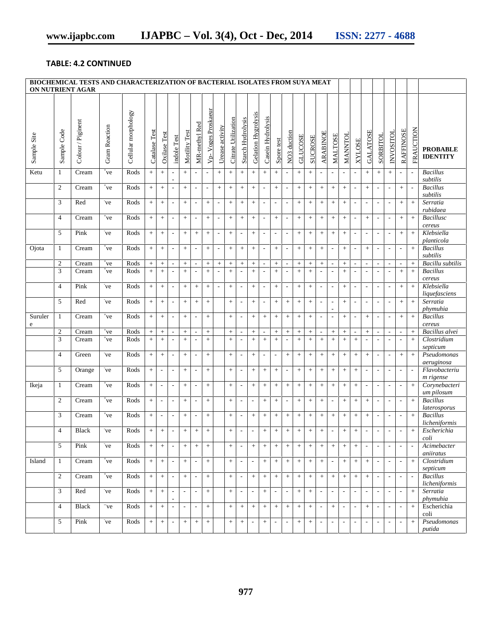### **TABLE: 4.2 CONTINUED**

| BIOCHEMICAL TESTS AND CHARACTERIZATION OF BACTERIAL ISOLATES FROM SUYA MEAT<br>ON NUTRIENT AGAR |                  |                   |                 |                     |                  |                          |                          |                          |                          |                          |                          |                     |                          |                          |                          |                          |                          |                  |                  |                          |                          |                          |                             |                          |                          |                          |                          |                          |                                    |
|-------------------------------------------------------------------------------------------------|------------------|-------------------|-----------------|---------------------|------------------|--------------------------|--------------------------|--------------------------|--------------------------|--------------------------|--------------------------|---------------------|--------------------------|--------------------------|--------------------------|--------------------------|--------------------------|------------------|------------------|--------------------------|--------------------------|--------------------------|-----------------------------|--------------------------|--------------------------|--------------------------|--------------------------|--------------------------|------------------------------------|
| Sample Site                                                                                     | Sample Code      | Colour / Piginent | Gram Reaction   | Cellular morphology | Catalase Test    | Oxilase Test             | indole Test              | Motility Test            | MR-methyl Red            | Vp-Voges Proskaeur       | Urease activity          | Citrate Utilization | <b>Starch Hydrolysis</b> | Gelation Hygrolysis      | Casein Hydrolysis        | Spore test               | NO <sub>3</sub> duction  | <b>GLUCOSE</b>   | <b>SUCROSE</b>   | <b>ARABINOE</b>          | <b>MALTOSE</b>           | MANNTOL                  | <b>XYLOSE</b>               | <b>GALATOSE</b>          | SORBITOL                 | <b>INVOSITOL</b>         | <b>RAFFINOSE</b>         | <b>FRAUCTION</b>         | <b>PROBABLE</b><br><b>IDENTITY</b> |
| Ketu                                                                                            | 1                | Cream             | +ve             | Rods                | $\pm$            | $+$                      | $\overline{\phantom{a}}$ | $+$                      | $\overline{\phantom{a}}$ | $\overline{\phantom{a}}$ | $+$                      | $+$                 | $+$                      | $+$                      | $^{+}$                   | $+$                      | $\overline{\phantom{a}}$ | $+$              | $\, +$           | $\overline{\phantom{a}}$ |                          | $\overline{\phantom{a}}$ | $\overline{\phantom{a}}$    | $+$                      | $+$                      | $+$                      | $\overline{\phantom{a}}$ | $\overline{\phantom{a}}$ | <b>Bacillus</b><br>subtilis        |
|                                                                                                 | $\overline{c}$   | Cream             | $_{\rm ^*ve}$   | Rods                | $\pm$            | $\boldsymbol{+}$         | $\overline{\phantom{a}}$ | $+$                      | $\overline{\phantom{a}}$ | $\overline{\phantom{a}}$ | $^{+}$                   | $\boldsymbol{+}$    | $+$                      | $+$                      | ÷,                       | $+$                      | $\overline{\phantom{a}}$ | $\! +$           | $\, +$           | $+$                      | $^{+}$                   | $+$                      | $\overline{\phantom{a}}$    | $+$                      | $\overline{\phantom{a}}$ | $\overline{\phantom{a}}$ | $+$                      | $\overline{\phantom{a}}$ | <b>Bacillus</b><br>subtilis        |
|                                                                                                 | 3                | Red               | ve              | Rods                | $+$              | $\boldsymbol{+}$         | $\overline{\phantom{a}}$ | $+$                      |                          | $+$                      | $\overline{\phantom{a}}$ | $\boldsymbol{+}$    | $\boldsymbol{+}$         | $+$                      |                          | $\overline{\phantom{a}}$ | $\overline{\phantom{a}}$ | $\boldsymbol{+}$ | $\boldsymbol{+}$ | $+$                      | $^{+}$                   | $+$                      | $\overline{\phantom{a}}$    | $\overline{\phantom{a}}$ | $\overline{\phantom{a}}$ | $\overline{\phantom{a}}$ | $+$                      | $+$                      | Serratia<br>rubidaea               |
|                                                                                                 | $\overline{4}$   | Cream             | $_{\rm ^{+}ve}$ | Rods                | $\pm$            | $\boldsymbol{+}$         | $\overline{\phantom{a}}$ | $+$                      | $\overline{\phantom{a}}$ | $+$                      | $\overline{\phantom{a}}$ | $\boldsymbol{+}$    | $\boldsymbol{+}$         | $+$                      | $\overline{\phantom{a}}$ | $+$                      | $\overline{\phantom{a}}$ | $\boldsymbol{+}$ | $\boldsymbol{+}$ | $+$                      | $+$                      | $+$                      | $\overline{\phantom{a}}$    | $+$                      | $\overline{\phantom{a}}$ | $\overline{\phantom{a}}$ | $+$                      | $+$                      | Bacillusc<br>cereus                |
|                                                                                                 | 5                | Pink              | ve              | Rods                | $\! +$           | $\boldsymbol{+}$         | $\overline{\phantom{a}}$ | $\boldsymbol{+}$         | $\! +$                   | $\qquad \qquad +$        | $\overline{\phantom{a}}$ | $\boldsymbol{+}$    | $\overline{\phantom{a}}$ | $\,+\,$                  | ÷,                       | $\overline{\phantom{a}}$ | $\sim$                   | $\! +$           | $\boldsymbol{+}$ | $\boldsymbol{+}$         | $\boldsymbol{+}$         | $+$                      | $\overline{\phantom{a}}$    | $\overline{\phantom{a}}$ | $\overline{\phantom{a}}$ | $\sim$                   | $\boldsymbol{+}$         | $\overline{+}$           | Klebsiella<br>planticola           |
| Ojota                                                                                           | 1                | Cream             | $_{\rm ^{+}ve}$ | Rods                | $+$              | $+$                      | $\overline{\phantom{a}}$ | $+$                      | $\overline{\phantom{a}}$ | $+$                      | $\overline{\phantom{a}}$ | $+$                 | $+$                      | $+$                      | $\overline{\phantom{a}}$ | $+$                      | $\overline{\phantom{a}}$ | $+$              | $\, +$           | $+$                      |                          | $+$                      | $\overline{\phantom{a}}$    | $+$                      | $\overline{\phantom{a}}$ | $\overline{\phantom{a}}$ | $\overline{\phantom{a}}$ | $+$                      | <b>Bacillus</b><br>subtilis        |
|                                                                                                 | $\sqrt{2}$       | Cream             | $_{\rm ^*ve}$   | Rods                | $+$              | $^+$                     | $\overline{\phantom{a}}$ | $+$                      |                          | $\boldsymbol{+}$         | $+$                      | $+$                 | $\! +$                   | $+$                      | ٠                        | $\boldsymbol{+}$         | $\overline{\phantom{a}}$ | $+$              | $\boldsymbol{+}$ | $\, +$                   |                          | $+$                      | $\overline{\phantom{a}}$    | ٠                        | $\sim$                   | $\sim$                   | $\overline{\phantom{a}}$ | $+$                      | Bacillu subtilis                   |
|                                                                                                 | 3                | Cream             | +ve             | Rods                | $\ddot{+}$       | $+$                      | $\overline{\phantom{a}}$ | $+$                      |                          | $+$                      | $\overline{\phantom{a}}$ | $\pm$               | $\overline{\phantom{a}}$ | $+$                      |                          | $+$                      | $\sim$                   | $+$              | $\pm$            | $\overline{\phantom{a}}$ |                          | $+$                      | $\mathcal{L}_{\mathcal{A}}$ | $\overline{\phantom{a}}$ | $\overline{\phantom{a}}$ | $\overline{\phantom{a}}$ | $+$                      | $+$                      | <b>Bacillus</b><br>cereus          |
|                                                                                                 | $\overline{4}$   | Pink              | ve              | Rods                | $\pm$            | $+$                      | $\overline{\phantom{a}}$ | $+$                      | $+$                      | $+$                      | $\overline{\phantom{a}}$ | $+$                 | $\overline{\phantom{a}}$ | $+$                      | $\overline{\phantom{a}}$ | $+$                      | $\sim$                   | $+$              | $\, +$           | $\overline{\phantom{a}}$ | $\overline{\phantom{a}}$ | $+$                      | $\overline{\phantom{a}}$    | ٠                        | $\overline{\phantom{a}}$ | $\overline{\phantom{a}}$ | $+$                      | $+$                      | Klebsiella<br>liquefasciens        |
|                                                                                                 | 5                | Red               | ve              | Rods                | $+$              | $+$                      | $\overline{\phantom{a}}$ | $+$                      | $+$                      | $+$                      |                          | $+$                 | $\overline{\phantom{a}}$ | $+$                      |                          | $+$                      | $+$                      | $+$              | $\, +$           | $\sim$                   |                          | $+$                      | $\overline{\phantom{a}}$    | $\overline{\phantom{a}}$ | $\overline{\phantom{a}}$ | $\overline{\phantom{a}}$ | $+$                      | $+$                      | Serratia<br>phymuhia               |
| Suruler                                                                                         | 1                | Cream             | $_{\rm ^{+}ve}$ | Rods                | $+$              | $+$                      | $\overline{\phantom{a}}$ | $+$                      | $\overline{\phantom{0}}$ | $+$                      |                          | $+$                 | $\overline{\phantom{a}}$ | $+$                      | $^{+}$                   | $+$                      | $+$                      | $+$              | $\, +$           | $\overline{\phantom{a}}$ |                          | $+$                      | $\overline{\phantom{a}}$    | $+$                      | $\overline{\phantom{a}}$ | $\overline{\phantom{a}}$ | $+$                      | $+$                      | <b>Bacillus</b>                    |
| ${\bf e}$                                                                                       | $\boldsymbol{2}$ | Cream             | $_{\rm ^*ve}$   | Rods                | $+$              | $\! + \!\!\!\!$          | $\sim$                   | $+$                      | $\overline{\phantom{a}}$ | $+$                      |                          | $+$                 | $\sim$                   | $+$                      | $\overline{a}$           | $\boldsymbol{+}$         |                          | $\! +$           | $\boldsymbol{+}$ | $\overline{\phantom{a}}$ | $^{+}$                   | $\! +$                   | $\overline{\phantom{a}}$    | $\boldsymbol{+}$         | $\sim$                   | $\overline{\phantom{a}}$ | $\overline{\phantom{a}}$ | $\! +$                   | cereus<br>Bacillus alvei           |
|                                                                                                 | 3                | Cream             | $_{\rm ^{+}ve}$ | Rods                | $+$              | $+$                      |                          | $+$                      |                          | $+$                      |                          |                     | $\overline{\phantom{a}}$ | $+$                      | $^{+}$                   | $+$                      | $\overline{\phantom{a}}$ | $+$              | $\, +$           | $+$                      | $^{+}$                   | $+$                      | $+$                         |                          |                          | $\overline{\phantom{a}}$ | $\overline{\phantom{a}}$ | $+$                      | Clostridium                        |
|                                                                                                 | $\overline{4}$   | Green             | ve              | Rods                | $+$              | $\qquad \qquad +$        | $\overline{\phantom{a}}$ | $+$                      |                          | $+$                      |                          | $\! + \!\!\!\!$     | $\overline{\phantom{a}}$ | $\! + \!\!\!\!$          | $\overline{\phantom{a}}$ | $\overline{\phantom{a}}$ |                          | $\! + \!\!\!\!$  | $^+$             | $\! + \!\!\!\!$          | $^{+}$                   |                          | $+$                         | $\! + \!\!\!\!$          | $\overline{\phantom{a}}$ | $\overline{\phantom{a}}$ | $+$                      | $+$                      | septicum<br>Pseudomonas            |
|                                                                                                 | 5                | Orange            | ve              | Rods                | $\pm$            | $\overline{\phantom{a}}$ | $\overline{\phantom{a}}$ | $+$                      | $\overline{a}$           | $+$                      |                          | $+$                 | $\overline{\phantom{a}}$ | $+$                      | $+$                      | $+$                      | $\overline{\phantom{a}}$ | $\pm$            | $\pm$            | $+$                      | $+$                      | $+$                      | $+$                         | $\overline{\phantom{a}}$ | $\overline{\phantom{a}}$ | $\overline{\phantom{a}}$ | $\overline{\phantom{a}}$ | $\overline{\phantom{a}}$ | aeruginosa<br>Flavobacteriu        |
| Ikeja                                                                                           | 1                | Cream             | $_{\rm ^{+}ve}$ | Rods                | $\, +$           | $\overline{\phantom{a}}$ | $\overline{\phantom{a}}$ | $+$                      | $\overline{\phantom{a}}$ | $\ddot{}$                |                          | $+$                 | $\overline{\phantom{a}}$ | $+$                      | $\! + \!\!\!\!$          | $+$                      | $\,+\,$                  | $+$              | $^+$             | $+$                      | $+$                      | $\! + \!\!\!\!$          | $+$                         | $\overline{\phantom{a}}$ | $\overline{\phantom{a}}$ | $\overline{\phantom{a}}$ | $\overline{\phantom{a}}$ | $+$                      | m rigense<br>Corynebacteri         |
|                                                                                                 | 2                | Cream             | +ve             | Rods                | $\pm$            | $\overline{\phantom{a}}$ | $\overline{\phantom{a}}$ | $+$                      |                          | $+$                      |                          | $\boldsymbol{+}$    | $\overline{\phantom{a}}$ | $\overline{\phantom{a}}$ | $\qquad \qquad +$        | $\boldsymbol{+}$         | $\overline{\phantom{a}}$ | $\boldsymbol{+}$ | $\boldsymbol{+}$ | $+$                      |                          | $+$                      | $+$                         | $+$                      | $\overline{\phantom{a}}$ | $\overline{\phantom{a}}$ | $\overline{\phantom{a}}$ | $+$                      | um pilosum<br><b>Bacillus</b>      |
|                                                                                                 | 3                | Cream             | $v^+$ ve        | Rods                | $\pm$            | $\sim$                   | $\overline{\phantom{a}}$ | $+$                      | $\overline{\phantom{a}}$ | $+$                      |                          | $+$                 | $\overline{\phantom{a}}$ | $+$                      | $+$                      | $+$                      | $+$                      | $+$              | $\, +$           | $+$                      | $+$                      | $+$                      | $+$                         | $+$                      | $\overline{\phantom{a}}$ | $\overline{\phantom{a}}$ | $\overline{\phantom{a}}$ | $\overline{+}$           | laterosporus<br><b>Bacillus</b>    |
|                                                                                                 | $\overline{4}$   | <b>Black</b>      | ve              | Rods                | $\boldsymbol{+}$ | $\boldsymbol{+}$         | $\overline{\phantom{a}}$ | $\boldsymbol{+}$         | $\! +$                   |                          |                          | $\! +$              | $\overline{\phantom{a}}$ | $\overline{\phantom{a}}$ | $\! + \!\!\!\!$          | $\boldsymbol{+}$         | $\boldsymbol{+}$         | $\boldsymbol{+}$ | $\boldsymbol{+}$ | $\boldsymbol{+}$         | $\overline{\phantom{a}}$ |                          | $\! +$                      | $\overline{\phantom{a}}$ | $\overline{\phantom{a}}$ | $\overline{\phantom{a}}$ | $\overline{a}$           | $\qquad \qquad +$        | licheniformis<br>Escherichia       |
|                                                                                                 | 5                | Pink              | ve              | Rods                | $+$              | $+$                      |                          | $+$                      | $+$                      | $+$                      |                          | $+$                 | $\overline{\phantom{a}}$ | $+$                      | $+$                      | $+$                      | $+$                      | $+$              | $+$              | $+$                      | $+$                      | $+$                      | $+$                         | $\overline{\phantom{a}}$ |                          |                          |                          | $\overline{\phantom{a}}$ | coli<br>Acimebacter                |
| Island                                                                                          | 1                | Cream             | $_{\rm ^{+}ve}$ | Rods                | $+$              | $+$                      | $\overline{\phantom{a}}$ | $+$                      | $\overline{\phantom{a}}$ | $+$                      |                          | $+$                 | $\overline{\phantom{a}}$ | $\overline{\phantom{a}}$ | $+$                      | $+$                      | $+$                      | $+$              | $+$              | $\, +$                   | $\overline{\phantom{a}}$ | $+$                      | $+$                         | $+$                      | $\overline{\phantom{a}}$ | $\overline{\phantom{a}}$ | $\overline{\phantom{a}}$ | $+$                      | aniiratus<br>Clostridium           |
|                                                                                                 | 2                | Cream             | $_{\rm ^*ve}$   | Rods                | $+$              | $+$                      | $\blacksquare$           | $+$                      | $\overline{\phantom{a}}$ | $+$                      |                          | $+$                 | $\overline{\phantom{a}}$ | $\pm$                    | $+$                      | $+$                      | $+$                      | $+$              | $+$              | $+$                      | $+$                      | $+$                      | $\pm$                       | $+$                      | $\blacksquare$           | $\sim$                   | $\overline{\phantom{a}}$ | $\overline{\phantom{a}}$ | septicum<br><b>Bacillus</b>        |
|                                                                                                 | 3                | Red               | ve              | Rods                | $\,+\,$          | $+$                      | $\overline{\phantom{a}}$ | $\overline{\phantom{a}}$ | $\overline{\phantom{a}}$ | $+$                      |                          | $\! + \!\!\!\!$     | $\overline{\phantom{a}}$ | $\overline{\phantom{a}}$ | $^{+}$                   | $\overline{\phantom{a}}$ | $\overline{\phantom{a}}$ | $\! + \!\!\!\!$  | $\boldsymbol{+}$ | $\overline{\phantom{a}}$ |                          | $\overline{\phantom{a}}$ | $\overline{\phantom{a}}$    | $\overline{\phantom{a}}$ | $\overline{\phantom{a}}$ | $\overline{\phantom{a}}$ | $\overline{\phantom{a}}$ | $+$                      | licheniformis<br>Serratia          |
|                                                                                                 | $\overline{4}$   | <b>Black</b>      | ve-             | Rods                | $\, +$           | $+$                      | $\overline{\phantom{a}}$ | $\sim$                   | $\overline{\phantom{a}}$ | $\! + \!\!\!\!$          |                          | $\! + \!\!\!\!$     | $\! +$                   | $\, +$                   | $^{+}$                   | $\boldsymbol{+}$         | $\,+\,$                  | $+$              | $\boldsymbol{+}$ | $\sim$                   | $^{+}$                   | $\overline{\phantom{a}}$ | $\overline{\phantom{a}}$    | $\! + \!\!\!\!$          | $\overline{\phantom{a}}$ | $\overline{\phantom{a}}$ | $\overline{\phantom{a}}$ | $+$                      | phymuhia<br>Escherichia            |
|                                                                                                 | 5                | Pink              | ve              | Rods                | $+$              | $+$                      | $\overline{\phantom{a}}$ | $\, +$                   | $+$                      | $+$                      |                          | $\boldsymbol{+}$    | $\! +$                   | $\overline{\phantom{a}}$ | $+$                      | $\overline{\phantom{a}}$ | $\overline{\phantom{a}}$ | $+$              | $\, +$           | $\sim$                   | $\overline{\phantom{a}}$ | $\overline{\phantom{a}}$ | $\overline{\phantom{a}}$    | $\overline{\phantom{a}}$ | $\blacksquare$           | $\overline{\phantom{a}}$ | $\overline{\phantom{a}}$ | $+$                      | coli<br>Pseudomonas                |
|                                                                                                 |                  |                   |                 |                     |                  |                          |                          |                          |                          |                          |                          |                     |                          |                          |                          |                          |                          |                  |                  |                          |                          |                          |                             |                          |                          |                          |                          |                          | putida                             |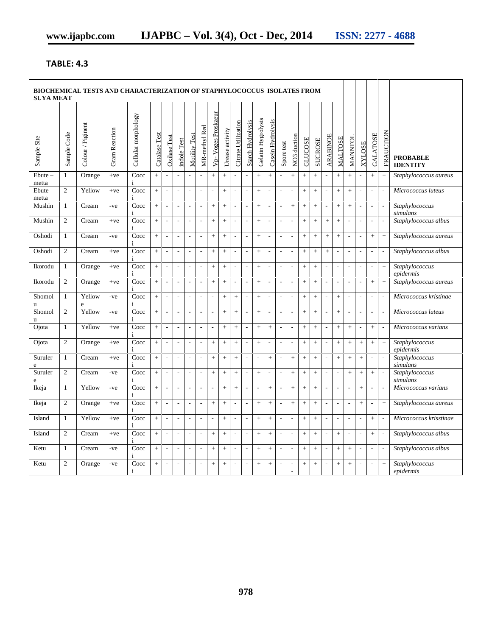## **TABLE: 4.3**

| <b>SUYA MEAT</b>       |                |                   |                      |                      |               |                          |                             |                          |                          |                          |                   |                          |                          |                          |                          |                          |                          |                   |                  |                          |                          |                          |                          |                          |                          |                                    |
|------------------------|----------------|-------------------|----------------------|----------------------|---------------|--------------------------|-----------------------------|--------------------------|--------------------------|--------------------------|-------------------|--------------------------|--------------------------|--------------------------|--------------------------|--------------------------|--------------------------|-------------------|------------------|--------------------------|--------------------------|--------------------------|--------------------------|--------------------------|--------------------------|------------------------------------|
| Sample Site            | Sample Code    | Colour / Piginent | <b>Gram Reaction</b> | Cellular morphology  | Catalase Test | Oxilase Test             | indole Test                 | Motility Test            | MR-methyl Red            | Vp- Voges Proskaeur      | Urease activity   | Citrate Utilization      | <b>Starch Hydrolysis</b> | Gelatin Hygrolysis       | Casein Hydrolysis        | Spore test               | NO <sub>3</sub> duction  | GLUCOSE           | <b>SUCROSE</b>   | <b>ARABINOE</b>          | MALTOSE                  | MANNTOL                  | <b>XYLOSE</b>            | <b>GALATOSE</b>          | FRAUCTION                | <b>PROBABLE</b><br><b>IDENTITY</b> |
| $E$ bute $-$<br>metta  | $\mathbf{1}$   | Orange            | $+ve$                | Cocc<br>$\mathbf{i}$ | $\ddot{+}$    |                          | $\overline{\phantom{a}}$    |                          |                          | $+$                      | $\ddot{}$         | $\overline{\phantom{a}}$ | $\overline{a}$           | $\ddot{}$                | $\ddot{}$                |                          | $\ddot{}$                | $\ddot{}$         | $\ddot{}$        |                          | $+$                      | $+$                      |                          | $\, +$                   | $\! + \!\!\!\!$          | Staphylococcus aureus              |
| Ebute<br>metta         | $\overline{2}$ | Yellow            | $+ve$                | Cocc<br>$\mathbf{i}$ | $\ddot{}$     | $\overline{\phantom{a}}$ | $\sim$                      | $\bar{\phantom{a}}$      | $\mathcal{L}$            | $\overline{\phantom{a}}$ | $+$               | $\overline{\phantom{a}}$ | $\overline{\phantom{a}}$ | $+$                      | L.                       | $\overline{\phantom{a}}$ | $\bar{\phantom{a}}$      | $^{+}$            | $+$              | $\overline{\phantom{a}}$ | $\, +$                   | $^{+}$                   | $\sim$                   | $\sim$                   |                          | Micrococcus luteus                 |
| Mushin                 | 1              | Cream             | -ve                  | Cocc<br>$\mathbf{i}$ | $+$           | ÷,                       | $\overline{\phantom{a}}$    | $\overline{\phantom{a}}$ | $\overline{\phantom{a}}$ | $^{+}$                   | $\boldsymbol{+}$  | $\overline{\phantom{a}}$ | $\sim$                   | $+$                      | $\overline{\phantom{a}}$ | $\overline{\phantom{a}}$ | $\boldsymbol{+}$         | $\qquad \qquad +$ |                  | $\overline{\phantom{a}}$ | $+$                      | $\boldsymbol{+}$         | $\sim$                   | ÷,                       |                          | Staphylococcus<br>simulans         |
| Mushin                 | 2              | Cream             | $+ve$                | Cocc<br>$\mathbf{i}$ | $\ddot{+}$    | $\overline{\phantom{a}}$ | $\overline{\phantom{a}}$    | $\overline{\phantom{a}}$ | $\overline{a}$           | $\ddot{}$                | $\pm$             | ÷,                       | $\overline{\phantom{a}}$ | $^{+}$                   | $\overline{\phantom{a}}$ | $\blacksquare$           | $\overline{\phantom{a}}$ | $+$               | $+$              | $+$                      | $\pm$                    | $\blacksquare$           | $\overline{\phantom{a}}$ | ÷,                       |                          | Staphylococcus albus               |
| Oshodi                 | $\mathbf{1}$   | Cream             | -ve                  | Cocc<br>$\mathbf{i}$ | $\, +$        | $\overline{\phantom{a}}$ | $\sim$                      | $\overline{a}$           | $\mathcal{L}$            | $^{+}$                   | $\pm$             | $\sim$                   | $\sim$                   | $+$                      | $\overline{a}$           | $\overline{\phantom{a}}$ | $\omega$                 | $\pm$             | $\ddot{}$        | $+$                      | $\, +$                   | $\overline{\phantom{a}}$ | $\overline{\phantom{a}}$ | $+$                      | $+$                      | Staphylococcus aureus              |
| Oshodi                 | $\overline{c}$ | Cream             | $+ve$                | Cocc<br>$\mathbf{i}$ | $+$           | $\overline{\phantom{a}}$ | $\sim$                      | $\overline{\phantom{a}}$ | $\overline{a}$           | $+$                      | $+$               | $\overline{\phantom{a}}$ | ÷,                       | $+$                      | $\overline{a}$           | $\overline{\phantom{a}}$ | $\overline{\phantom{a}}$ | $+$               | $+$              | $+$                      | ÷,                       | ÷,                       | $\sim$                   | ÷,                       |                          | Staphylococcus albus               |
| Ikorodu                | $\mathbf{1}$   | Orange            | $+ve$                | Cocc<br>$\mathbf{i}$ | $\ddot{}$     | $\overline{a}$           | $\sim$                      | $\sim$                   | $\overline{a}$           | $\ddot{}$                | $\ddot{}$         | $\sim$                   | $\overline{\phantom{a}}$ | $^{+}$                   | L,                       | $\overline{\phantom{a}}$ | $\overline{\phantom{a}}$ | $\pm$             | $+$              | $\overline{\phantom{a}}$ | $\overline{\phantom{a}}$ | $\overline{a}$           | $\sim$                   | $\overline{\phantom{a}}$ | $\ddot{}$                | Staphylococcus<br>epidermis        |
| Ikorodu                | $\overline{c}$ | Orange            | $+ve$                | Cocc<br>$\mathbf{i}$ | $\ddot{}$     | $\overline{a}$           | $\overline{\phantom{a}}$    | $\overline{\phantom{a}}$ | $\overline{\phantom{a}}$ |                          | $\! + \!\!\!\!$   | $\overline{\phantom{a}}$ | $\overline{a}$           | $+$                      | $\overline{a}$           | $\blacksquare$           | $\overline{\phantom{a}}$ | $+$               | $\boldsymbol{+}$ | $\overline{\phantom{a}}$ | $\overline{\phantom{a}}$ | $\overline{a}$           | $\overline{\phantom{a}}$ | $+$                      | $\! + \!\!\!\!$          | Staphylococcus aureus              |
| Shomol<br>u            | $\mathbf{1}$   | Yellow<br>$\rm e$ | $-ve$                | Cocc<br>$\mathbf{i}$ | $+$           | $\overline{\phantom{a}}$ | $\sim$                      | $\overline{\phantom{a}}$ | $\overline{\phantom{a}}$ | $\overline{\phantom{a}}$ | $\pm$             | $\pm$                    | $\overline{\phantom{a}}$ | $^{+}$                   | ÷,                       | $\overline{\phantom{a}}$ | $\Box$                   | $+$               | $+$              | $\blacksquare$           | $\color{red}{+}$         | $\overline{\phantom{a}}$ | $\overline{\phantom{a}}$ | ÷,                       | $\overline{\phantom{a}}$ | Micrococcus kristinae              |
| Shomol<br>$\mathbf{u}$ | $\overline{2}$ | Yellow            | $-ve$                | Cocc<br>$\mathbf{i}$ | $\ddot{}$     | $\overline{a}$           | $\overline{\phantom{a}}$    | $\overline{\phantom{a}}$ | $\overline{a}$           | $\overline{\phantom{a}}$ | $\boldsymbol{+}$  | $\boldsymbol{+}$         | $\overline{\phantom{a}}$ | $+$                      | $\overline{a}$           | $\overline{\phantom{a}}$ | $\overline{\phantom{a}}$ | $\boldsymbol{+}$  | $+$              | $\overline{\phantom{a}}$ | $+$                      | ÷,                       | $\overline{\phantom{a}}$ | $\overline{\phantom{a}}$ |                          | Micrococcus luteus                 |
| Ojota                  | 1              | Yellow            | $+ve$                | Cocc<br>$\mathbf{i}$ | $\ddot{+}$    | ÷,                       | $\overline{\phantom{a}}$    | $\overline{\phantom{a}}$ | $\overline{a}$           | $\overline{\phantom{a}}$ | $+$               | $+$                      | $\overline{\phantom{a}}$ | $^{+}$                   | $\ddot{}$                | ÷,                       | $\Box$                   | $^{+}$            | $+$              | ÷,                       | $\, +$                   | $+$                      | $\overline{\phantom{a}}$ | $+$                      |                          | Micrococcus varians                |
| Ojota                  | 2              | Orange            | $+ve$                | Cocc<br>$\mathbf{i}$ | $\, +$        | $\overline{\phantom{a}}$ | $\sim$                      | $\overline{\phantom{a}}$ | $\overline{a}$           | $^{+}$                   | $\pm$             | $+$                      | $\sim$                   | $+$                      | $\overline{a}$           | $\overline{\phantom{a}}$ | $\overline{\phantom{a}}$ | $\pm$             | $+$              | $\overline{\phantom{a}}$ | $+$                      | $+$                      | $+$                      | $+$                      | $+$                      | Staphylococcus<br>epidermis        |
| Suruler<br>e           | $\mathbf{1}$   | Cream             | $+ve$                | Cocc<br>$\mathbf{i}$ | $+$           | $\overline{\phantom{a}}$ | $\overline{\phantom{a}}$    | $\overline{\phantom{a}}$ | $\overline{a}$           | $+$                      | $\pm$             | $+$                      | ÷,                       | ÷,                       | $+$                      | $\overline{\phantom{a}}$ | $+$                      | $\pm$             | $\ddot{}$        | $\overline{\phantom{a}}$ | $\pm$                    | $^{+}$                   | $+$                      | ÷,                       |                          | Staphylococcus<br>simulans         |
| Suruler<br>e           | $\overline{2}$ | Cream             | -ve                  | Cocc<br>$\mathbf{i}$ | $\pm$         | $\overline{a}$           | $\sim$                      | $\overline{a}$           | $\mathcal{L}$            | $^{+}$                   | $\pm$             | $+$                      | $\overline{\phantom{a}}$ | $+$                      | $\overline{a}$           | $\overline{\phantom{a}}$ | $+$                      | $\pm$             | $\ddot{}$        | $\overline{\phantom{a}}$ | $\sim$                   | $^{+}$                   | $+$                      | $+$                      |                          | Staphylococcus<br>simulans         |
| Ikeja                  | $\mathbf{1}$   | Yellow            | -ve                  | Cocc<br>$\mathbf{i}$ | $\, +$        | $\overline{\phantom{a}}$ | $\overline{\phantom{a}}$    | $\overline{\phantom{a}}$ | $\overline{a}$           | ÷,                       | $\boldsymbol{+}$  | $+$                      | ÷,                       | $\overline{\phantom{a}}$ | $\ddot{}$                | $\overline{\phantom{a}}$ | $\boldsymbol{+}$         | $\boldsymbol{+}$  | $\ddag$          | $\overline{\phantom{a}}$ | $\overline{\phantom{a}}$ | $\overline{a}$           | $+$                      | ÷,                       | $\overline{a}$           | Micrococcus varians                |
| Ikeja                  | $\mathfrak{2}$ | Orange            | $+ve$                | Cocc<br>$\mathbf{i}$ | $\ddot{+}$    | L.                       | $\overline{\phantom{a}}$    | $\overline{\phantom{a}}$ | $\overline{a}$           | $^{+}$                   | $\ddot{}$         | $\overline{\phantom{a}}$ | $\overline{a}$           | $^{+}$                   | $\ddot{}$                | $\blacksquare$           | $+$                      | $\pm$             | $\ddot{}$        | $\overline{\phantom{a}}$ | $\overline{\phantom{a}}$ | $\overline{a}$           | $^{+}$                   | $\overline{\phantom{a}}$ | $+$                      | Staphylococcus aureus              |
| Island                 | $\mathbf{1}$   | Yellow            | $+ve$                | Cocc<br>i            | $+$           | ÷,                       | $\overline{\phantom{a}}$    | $\overline{\phantom{a}}$ | $\overline{\phantom{a}}$ | $\overline{\phantom{a}}$ | $\qquad \qquad +$ | $\overline{\phantom{a}}$ | $\overline{\phantom{a}}$ | $^{+}$                   | $\ddot{}$                | ÷,                       | $\Box$                   | $\qquad \qquad +$ |                  | $\overline{\phantom{a}}$ | $\overline{\phantom{a}}$ | $\overline{a}$           | $\overline{\phantom{a}}$ | $+$                      | $\overline{\phantom{a}}$ | Micrococcus krisstinae             |
| Island                 | 2              | Cream             | $+ve$                | Cocc                 | $+$           | $\overline{\phantom{a}}$ | $\mathcal{L}_{\mathcal{A}}$ | $\overline{\phantom{a}}$ | $\overline{\phantom{a}}$ | $+$                      | $\pm$             | $\overline{\phantom{a}}$ | $\overline{\phantom{a}}$ | $+$                      | $+$                      | $\overline{\phantom{a}}$ | $\overline{\phantom{a}}$ | $+$               | $+$              | $\overline{\phantom{a}}$ | $\color{red}{+}$         | $\overline{\phantom{a}}$ | $\sim$                   | $+$                      | $\overline{\phantom{a}}$ | Staphylococcus albus               |
| Ketu                   | $\mathbf{1}$   | Cream             | $-ve$                | Cocc<br>$\mathbf{i}$ | $+$           | $\sim$                   | $\sim$                      | $\sim$                   | $\sim$                   | $+$                      | $+$               | $\overline{a}$           | $\overline{\phantom{a}}$ | $+$                      | $^{+}$                   | $\overline{\phantom{a}}$ | $\overline{\phantom{a}}$ | $+$               | $+$              | $\sim$                   | $\! +$                   | $+$                      | $\overline{\phantom{a}}$ | $\overline{\phantom{a}}$ |                          | Staphylococcus albus               |
| Ketu                   | 2              | Orange            | -ve                  | Cocc<br>$\mathbf{i}$ | $+$           | ÷,                       | $\overline{\phantom{a}}$    | $\overline{\phantom{a}}$ |                          | $+$                      | $+$               | $\overline{\phantom{a}}$ | ÷,                       | $+$                      | $+$                      | $\overline{\phantom{a}}$ | $\overline{a}$<br>÷.     | $+$               | $+$              | ÷,                       | $+$                      | $+$                      | $\overline{\phantom{a}}$ | $\overline{a}$           | $+$                      | Staphylococcus<br>epidermis        |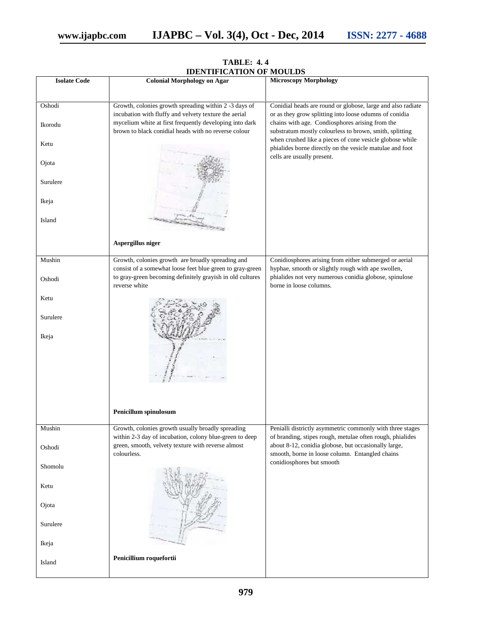|                     | <b>IDENTIFICATION OF MOULDS</b>                           |                                                             |
|---------------------|-----------------------------------------------------------|-------------------------------------------------------------|
| <b>Isolate Code</b> | <b>Colonial Morphology on Agar</b>                        | <b>Microscopy Morphology</b>                                |
|                     |                                                           |                                                             |
| Oshodi              | Growth, colonies growth spreading within 2 -3 days of     | Conidial heads are round or globose, large and also radiate |
|                     | incubation with fluffy and velvety texture the aerial     | or as they grow splitting into loose odumns of conidia      |
| Ikorodu             | mycelium white at first frequently developing into dark   | chains with age. Condiosphores arising from the             |
|                     | brown to black conidial heads with no reverse colour      | substratum mostly colourless to brown, smith, splitting     |
| Ketu                |                                                           | when crushed like a pieces of cone vesicle globose while    |
|                     |                                                           | phialides borne directly on the vesicle matulae and foot    |
| Ojota               |                                                           | cells are usually present.                                  |
|                     |                                                           |                                                             |
| Surulere            |                                                           |                                                             |
|                     |                                                           |                                                             |
| Ikeja               |                                                           |                                                             |
|                     |                                                           |                                                             |
| Island              |                                                           |                                                             |
|                     |                                                           |                                                             |
|                     | Aspergillus niger                                         |                                                             |
|                     |                                                           |                                                             |
| Mushin              | Growth, colonies growth are broadly spreading and         | Conidiosphores arising from either submerged or aerial      |
|                     | consist of a somewhat loose feet blue green to gray-green | hyphae, smooth or slightly rough with ape swollen,          |
| Oshodi              | to gray-green becoming definitely grayish in old cultures | phialides not very numerous conidia globose, spinulose      |
|                     | reverse white                                             | borne in loose columns.                                     |
| Ketu                |                                                           |                                                             |
|                     |                                                           |                                                             |
| Surulere            |                                                           |                                                             |
|                     |                                                           |                                                             |
| Ikeja               |                                                           |                                                             |
|                     |                                                           |                                                             |
|                     |                                                           |                                                             |
|                     |                                                           |                                                             |
|                     |                                                           |                                                             |
|                     |                                                           |                                                             |
|                     |                                                           |                                                             |
|                     | Penicillum spinulosum                                     |                                                             |
|                     |                                                           |                                                             |
| Mushin              | Growth, colonies growth usually broadly spreading         | Penialli districtly asymmetric commonly with three stages   |
|                     | within 2-3 day of incubation, colony blue-green to deep   | of branding, stipes rough, metulae often rough, phialides   |
| Oshodi              | green, smooth, velvety texture with reverse almost        | about 8-12, conidia globose, but occasionally large,        |
|                     | colourless.                                               | smooth, borne in loose column. Entangled chains             |
| Shomolu             |                                                           | conidiosphores but smooth                                   |
|                     |                                                           |                                                             |
| Ketu                |                                                           |                                                             |
|                     |                                                           |                                                             |
| Ojota               |                                                           |                                                             |
|                     |                                                           |                                                             |
| Surulere            |                                                           |                                                             |
|                     |                                                           |                                                             |
| Ikeja               |                                                           |                                                             |
|                     | Penicillium roquefortii                                   |                                                             |
| Island              |                                                           |                                                             |

# **TABLE: 4. 4**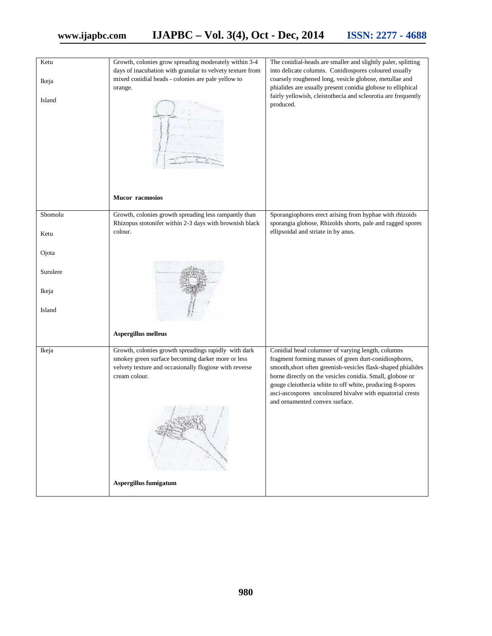| Ketu     | Growth, colonies grow spreading moderately within 3-4<br>days of inacubation with granular to velvety texture from                                                                   | The conidial-heads are smaller and slightly paler, splitting<br>into delicate columns. Conidiospores coloured usually                                                                                                                                                                                                                                                                              |
|----------|--------------------------------------------------------------------------------------------------------------------------------------------------------------------------------------|----------------------------------------------------------------------------------------------------------------------------------------------------------------------------------------------------------------------------------------------------------------------------------------------------------------------------------------------------------------------------------------------------|
| Ikeja    | mixed conidial heads - colonies are pale yellow to<br>orange.                                                                                                                        | coarsely roughened long, vesicle globose, metullae and<br>phialides are usually present conidia globose to elliphical                                                                                                                                                                                                                                                                              |
| Island   |                                                                                                                                                                                      | fairly yellowish, cleistothecia and scleorotia are frequently<br>produced.                                                                                                                                                                                                                                                                                                                         |
|          | <b>Mucor</b> racmosios                                                                                                                                                               |                                                                                                                                                                                                                                                                                                                                                                                                    |
| Shomolu  | Growth, colonies growth spreading less rampantly than                                                                                                                                | Sporangiophores erect arising from hyphae with rhizoids                                                                                                                                                                                                                                                                                                                                            |
| Ketu     | Rhizopus stotonifer within 2-3 days with brownish black<br>colour.                                                                                                                   | sporangia globose, Rhizolds shorts, pale and ragged spores<br>ellipsoidal and striate in by anus.                                                                                                                                                                                                                                                                                                  |
| Ojota    |                                                                                                                                                                                      |                                                                                                                                                                                                                                                                                                                                                                                                    |
| Surulere |                                                                                                                                                                                      |                                                                                                                                                                                                                                                                                                                                                                                                    |
| Ikeja    |                                                                                                                                                                                      |                                                                                                                                                                                                                                                                                                                                                                                                    |
| Island   |                                                                                                                                                                                      |                                                                                                                                                                                                                                                                                                                                                                                                    |
|          | Aspergillus melleus                                                                                                                                                                  |                                                                                                                                                                                                                                                                                                                                                                                                    |
| Ikeja    | Growth, colonies growth spreadings rapidly with dark<br>smokey green surface becoming darker more or less<br>velvety texture and occasionally flogiose with reverse<br>cream colour. | Conidial head columner of varying length, columns<br>fragment forming masses of green durt-conidiosphores,<br>smooth, short often greenish-vesicles flask-shaped phialides<br>borne directly on the vesicles conidia. Small, globose or<br>gouge cleiothecia white to off white, producing 8-spores<br>asci-ascospores uncoloured bivalve with equatorial crests<br>and ornamented convex surface. |
|          | Aspergillus fumigatum                                                                                                                                                                |                                                                                                                                                                                                                                                                                                                                                                                                    |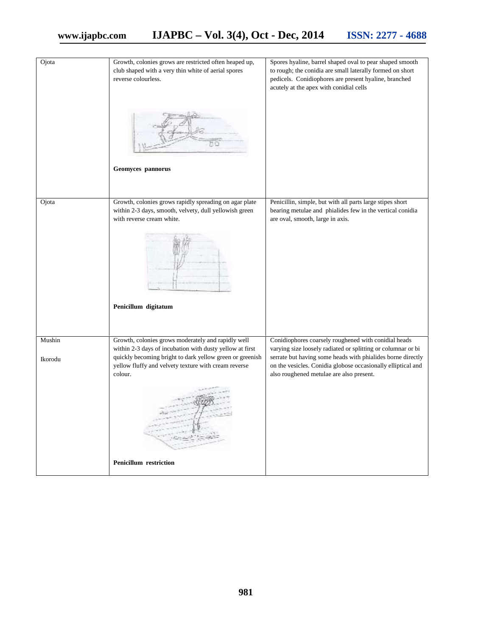| Ojota   | Growth, colonies grows are restricted often heaped up,<br>club shaped with a very thin white of aerial spores<br>reverse colourless.                                                    | Spores hyaline, barrel shaped oval to pear shaped smooth<br>to rough; the conidia are small laterally formed on short<br>pedicels. Conidiophores are present hyaline, branched<br>acutely at the apex with conidial cells               |
|---------|-----------------------------------------------------------------------------------------------------------------------------------------------------------------------------------------|-----------------------------------------------------------------------------------------------------------------------------------------------------------------------------------------------------------------------------------------|
|         | Geomyces pannorus                                                                                                                                                                       |                                                                                                                                                                                                                                         |
| Ojota   | Growth, colonies grows rapidly spreading on agar plate<br>within 2-3 days, smooth, velvety, dull yellowish green<br>with reverse cream white.<br>Penicillum digitatum                   | Penicillin, simple, but with all parts large stipes short<br>bearing metulae and phialides few in the vertical conidia<br>are oval, smooth, large in axis.                                                                              |
| Mushin  | Growth, colonies grows moderately and rapidly well                                                                                                                                      | Conidiophores coarsely roughened with conidial heads                                                                                                                                                                                    |
| Ikorodu | within 2-3 days of incubation with dusty yellow at first<br>quickly becoming bright to dark yellow green or greenish<br>yellow fluffy and velvety texture with cream reverse<br>colour. | varying size loosely radiated or splitting or columnar or bi<br>serrate but having some heads with phialides borne directly<br>on the vesicles. Conidia globose occasionally elliptical and<br>also roughened metulae are also present. |
|         | <b>Penicillum</b> restriction                                                                                                                                                           |                                                                                                                                                                                                                                         |